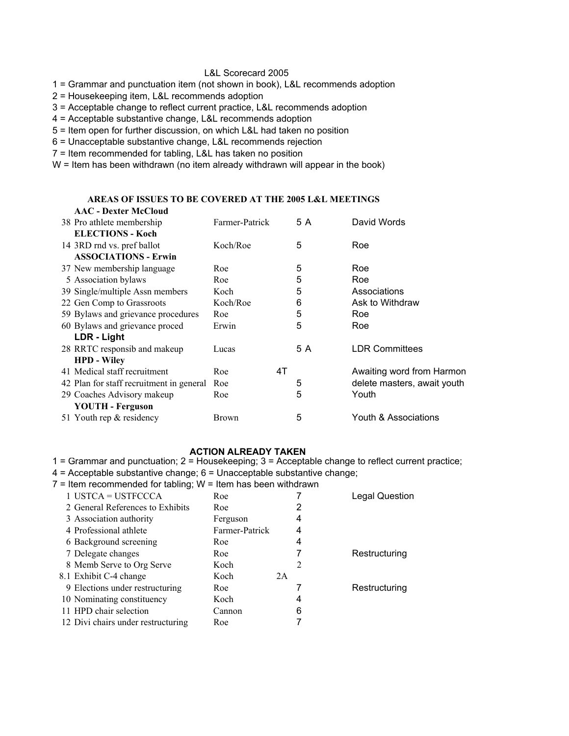#### L&L Scorecard 2005

1 = Grammar and punctuation item (not shown in book), L&L recommends adoption

2 = Housekeeping item, L&L recommends adoption

3 = Acceptable change to reflect current practice, L&L recommends adoption

4 = Acceptable substantive change, L&L recommends adoption

5 = Item open for further discussion, on which L&L had taken no position

6 = Unacceptable substantive change, L&L recommends rejection

7 = Item recommended for tabling, L&L has taken no position

W = Item has been withdrawn (no item already withdrawn will appear in the book)

#### **AAC - Dexter McCloud AREAS OF ISSUES TO BE COVERED AT THE 2005 L&L MEETINGS**

| AAC - DUART MRCIVIU                      |                |    |     |                             |
|------------------------------------------|----------------|----|-----|-----------------------------|
| 38 Pro athlete membership                | Farmer-Patrick |    | 5 A | David Words                 |
| <b>ELECTIONS - Koch</b>                  |                |    |     |                             |
| 14 3RD rnd vs. pref ballot               | Koch/Roe       |    | 5   | Roe                         |
| <b>ASSOCIATIONS - Erwin</b>              |                |    |     |                             |
| 37 New membership language               | Roe            |    | 5   | Roe                         |
| 5 Association bylaws                     | Roe            |    | 5   | Roe                         |
| 39 Single/multiple Assn members          | Koch           |    | 5   | Associations                |
| 22 Gen Comp to Grassroots                | Koch/Roe       |    | 6   | Ask to Withdraw             |
| 59 Bylaws and grievance procedures       | Roe            |    | 5   | Roe                         |
| 60 Bylaws and grievance proced           | Erwin          |    | 5   | Roe                         |
| LDR - Light                              |                |    |     |                             |
| 28 RRTC responsib and makeup             | Lucas          |    | 5 A | <b>LDR Committees</b>       |
| <b>HPD - Wiley</b>                       |                |    |     |                             |
| 41 Medical staff recruitment             | Roe            | 4T |     | Awaiting word from Harmon   |
| 42 Plan for staff recruitment in general | Roe            |    | 5   | delete masters, await youth |
| 29 Coaches Advisory makeup               | Roe            |    | 5   | Youth                       |
| <b>YOUTH - Ferguson</b>                  |                |    |     |                             |
| 51 Youth rep & residency                 | Brown          |    | 5   | Youth & Associations        |
|                                          |                |    |     |                             |

#### **ACTION ALREADY TAKEN**

1 = Grammar and punctuation; 2 = Housekeeping; 3 = Acceptable change to reflect current practice;

4 = Acceptable substantive change; 6 = Unacceptable substantive change;

 $7$  = Item recommended for tabling; W = Item has been withdrawn

| $1$ USTCA = USTFCCCA               | Roe            |    |   | <b>Legal Question</b> |
|------------------------------------|----------------|----|---|-----------------------|
| 2 General References to Exhibits   | Roe            |    | 2 |                       |
| 3 Association authority            | Ferguson       |    | 4 |                       |
| 4 Professional athlete             | Farmer-Patrick |    | 4 |                       |
| 6 Background screening             | Roe            |    | 4 |                       |
| 7 Delegate changes                 | Roe            |    |   | Restructuring         |
| 8 Memb Serve to Org Serve          | Koch           |    | 2 |                       |
| 8.1 Exhibit C-4 change             | Koch           | 2A |   |                       |
| 9 Elections under restructuring    | Roe            |    |   | Restructuring         |
| 10 Nominating constituency         | Koch           |    | 4 |                       |
| 11 HPD chair selection             | Cannon         |    | 6 |                       |
| 12 Divi chairs under restructuring | Roe            |    |   |                       |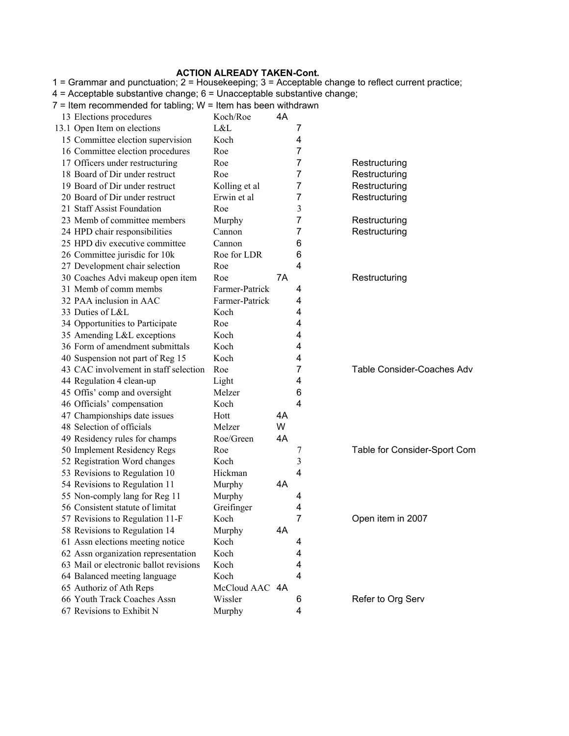#### **ACTION ALREADY TAKEN-Cont.**

13 Elections procedures Koch/Roe 4A 13.1 Open Item on elections L&L 7 15 Committee election supervision Koch 4 16 Committee election procedures Roe 7 17 Officers under restructuring Roe 7 Restructuring Roe Restructuring 18 Board of Dir under restruct Roe 7 Restructuring 19 Board of Dir under restruct Kolling et al 7 Restructuring 20 Board of Dir under restruct Erwin et al 7 Restructuring 21 Staff Assist Foundation Roe 3 23 Memb of committee members Murphy 7 Restructuring 24 HPD chair responsibilities Cannon 7 Restructuring 25 HPD div executive committee Cannon 6 26 Committee jurisdic for 10k Roe for LDR 6 27 Development chair selection Roe 4 30 Coaches Advi makeup open item Roe 7A Restructuring 31 Memb of comm membs Farmer-Patrick 4 32 PAA inclusion in AAC Farmer-Patrick 4 33 Duties of L&L Koch 4 34 Opportunities to Participate Roe 4 35 Amending L&L exceptions Koch 4 36 Form of amendment submittals Koch 4 40 Suspension not part of Reg 15 Koch 4 43 CAC involvement in staff selection Roe 7 Table Consider-Coaches Adv 44 Regulation 4 clean-up Light 4 45 Offis' comp and oversight Melzer 6 46 Officials' compensation Koch 4 47 Championships date issues Hott 4A 48 Selection of officials Melzer W 49 Residency rules for champs Roe/Green 4A 50 Implement Residency Regs Roe 7 Table for Consider-Sport Com 52 Registration Word changes Koch 3 53 Revisions to Regulation 10 Hickman 4 54 Revisions to Regulation 11 Murphy 4A 55 Non-comply lang for Reg 11 Murphy 4 56 Consistent statute of limitat Greifinger 4 57 Revisions to Regulation 11-F Koch 7 Open item in 2007 58 Revisions to Regulation 14 Murphy 4A 61 Assn elections meeting notice Koch 4 62 Assn organization representation Koch 4 63 Mail or electronic ballot revisions Koch 4 64 Balanced meeting language Koch 4 65 Authoriz of Ath Reps McCloud AAC 4A 66 Youth Track Coaches Assn Wissler 6 Refer to Org Serv 67 Revisions to Exhibit N Murphy 4 1 = Grammar and punctuation; 2 = Housekeeping; 3 = Acceptable change to reflect current practice; 4 = Acceptable substantive change; 6 = Unacceptable substantive change;  $7$  = Item recommended for tabling;  $W =$  Item has been withdrawn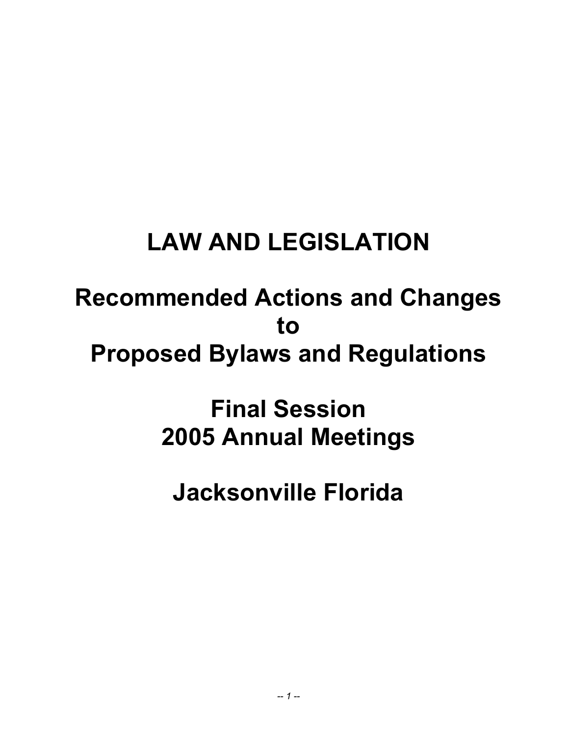## **LAW AND LEGISLATION**

## **Recommended Actions and Changes to Proposed Bylaws and Regulations**

## **Final Session 2005 Annual Meetings**

# **Jacksonville Florida**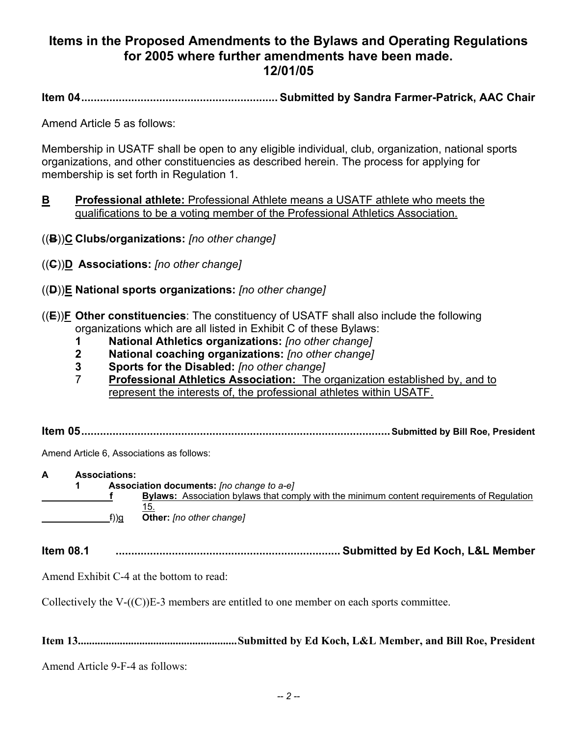## **Items in the Proposed Amendments to the Bylaws and Operating Regulations for 2005 where further amendments have been made. 12/01/05**

**Item 04............................................................... Submitted by Sandra Farmer-Patrick, AAC Chair** 

Amend Article 5 as follows:

Membership in USATF shall be open to any eligible individual, club, organization, national sports organizations, and other constituencies as described herein. The process for applying for membership is set forth in Regulation 1.

- **B** Professional athlete: Professional Athlete means a USATF athlete who meets the qualifications to be a voting member of the Professional Athletics Association.
- ((**B**))**C Clubs/organizations:** *[no other change]*
- ((**C**))**D Associations:** *[no other change]*
- ((**D**))**E National sports organizations:** *[no other change]*
- ((**E**))**F Other constituencies**: The constituency of USATF shall also include the following organizations which are all listed in Exhibit C of these Bylaws:
	- **1 National Athletics organizations:** *[no other change]*
	- **2 National coaching organizations:** *[no other change]*
	- **3 Sports for the Disabled:** *[no other change]*
	- 7 **Professional Athletics Association:** The organization established by, and to represent the interests of, the professional athletes within USATF.

**Item 05...................................................................................................Submitted by Bill Roe, President** 

Amend Article 6, Associations as follows:

**A Associations: 1 Association documents:** *[no change to a-e]* **f** Bylaws: Association bylaws that comply with the minimum content requirements of Regulation 15. f))g **Other:** *[no other change]*

**Item 08.1 ........................................................................ Submitted by Ed Koch, L&L Member**

Amend Exhibit C-4 at the bottom to read:

Collectively the V-((C))E-3 members are entitled to one member on each sports committee.

**Item 13.........................................................Submitted by Ed Koch, L&L Member, and Bill Roe, President** 

Amend Article 9-F-4 as follows: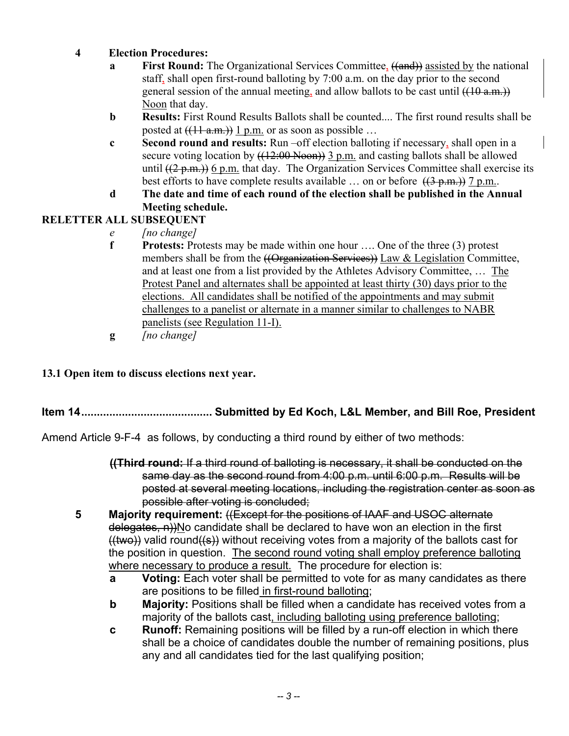- **4 Election Procedures:** 
	- **a First Round:** The Organizational Services Committee, ((and)) assisted by the national staff, shall open first-round balloting by 7:00 a.m. on the day prior to the second general session of the annual meeting, and allow ballots to be cast until  $((10 a.m.)$ Noon that day.
	- **b Results:** First Round Results Ballots shall be counted.... The first round results shall be posted at  $((11 a.m.))$  1 p.m. or as soon as possible ...
	- **c Second round and results:** Run –off election balloting if necessary, shall open in a secure voting location by  $((12:00 \text{ Noon}))$  3 p.m. and casting ballots shall be allowed until  $((2-p.m.))$  6 p.m. that day. The Organization Services Committee shall exercise its best efforts to have complete results available ... on or before  $((3-p.m.)$  7 p.m..
	- **d The date and time of each round of the election shall be published in the Annual Meeting schedule.**

#### **RELETTER ALL SUBSEQUENT**

- *e [no change]*
- **f** Protests: Protests may be made within one hour .... One of the three (3) protest members shall be from the  $(\overline{Organization Services})$  Law & Legislation Committee, and at least one from a list provided by the Athletes Advisory Committee, … The Protest Panel and alternates shall be appointed at least thirty (30) days prior to the elections. All candidates shall be notified of the appointments and may submit challenges to a panelist or alternate in a manner similar to challenges to NABR panelists (see Regulation 11-I).
- **g** *[no change]*

#### **13.1 Open item to discuss elections next year.**

### **Item 14.......................................... Submitted by Ed Koch, L&L Member, and Bill Roe, President**

Amend Article 9-F-4 as follows, by conducting a third round by either of two methods:

- **((Third round:** If a third round of balloting is necessary, it shall be conducted on the same day as the second round from 4:00 p.m. until 6:00 p.m. Results will be posted at several meeting locations, including the registration center as soon as possible after voting is concluded;
- **5 Majority requirement:** ((Except for the positions of IAAF and USOC alternate delegates, n))No candidate shall be declared to have won an election in the first  $(Hwo)$ ) valid round $(Hs)$ ) without receiving votes from a majority of the ballots cast for the position in question. The second round voting shall employ preference balloting where necessary to produce a result. The procedure for election is:
	- **a** Voting: Each voter shall be permitted to vote for as many candidates as there are positions to be filled in first-round balloting;
	- **b** Majority: Positions shall be filled when a candidate has received votes from a majority of the ballots cast, including balloting using preference balloting;
	- **c Runoff:** Remaining positions will be filled by a run-off election in which there shall be a choice of candidates double the number of remaining positions, plus any and all candidates tied for the last qualifying position;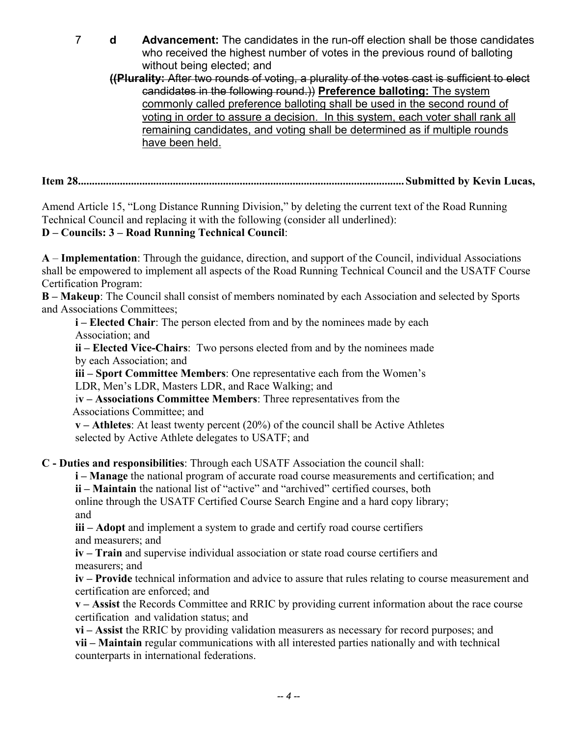7 **d Advancement:** The candidates in the run-off election shall be those candidates who received the highest number of votes in the previous round of balloting without being elected; and

 **((Plurality:** After two rounds of voting, a plurality of the votes cast is sufficient to elect candidates in the following round.)) **Preference balloting:** The system commonly called preference balloting shall be used in the second round of voting in order to assure a decision. In this system, each voter shall rank all remaining candidates, and voting shall be determined as if multiple rounds have been held.

**Item 28..................................................................................................................... Submitted by Kevin Lucas,** 

Amend Article 15, "Long Distance Running Division," by deleting the current text of the Road Running Technical Council and replacing it with the following (consider all underlined):

#### **D – Councils: 3 – Road Running Technical Council**:

**A** – **Implementation**: Through the guidance, direction, and support of the Council, individual Associations shall be empowered to implement all aspects of the Road Running Technical Council and the USATF Course Certification Program:

**B – Makeup**: The Council shall consist of members nominated by each Association and selected by Sports and Associations Committees;

*i* – Elected Chair: The person elected from and by the nominees made by each Association; and

 **ii – Elected Vice-Chairs**: Two persons elected from and by the nominees made by each Association; and

 **iii – Sport Committee Members**: One representative each from the Women's LDR, Men's LDR, Masters LDR, and Race Walking; and

 i**v – Associations Committee Members**: Three representatives from the Associations Committee; and

 **v – Athletes**: At least twenty percent (20%) of the council shall be Active Athletes selected by Active Athlete delegates to USATF; and

**C - Duties and responsibilities**: Through each USATF Association the council shall:

**i – Manage** the national program of accurate road course measurements and certification; and

**ii – Maintain** the national list of "active" and "archived" certified courses, both

 online through the USATF Certified Course Search Engine and a hard copy library; and

 **iii – Adopt** and implement a system to grade and certify road course certifiers and measurers; and

**iv – Train** and supervise individual association or state road course certifiers and measurers; and

**iv – Provide** technical information and advice to assure that rules relating to course measurement and certification are enforced; and

**v – Assist** the Records Committee and RRIC by providing current information about the race course certification and validation status; and

**vi – Assist** the RRIC by providing validation measurers as necessary for record purposes; and **vii – Maintain** regular communications with all interested parties nationally and with technical counterparts in international federations.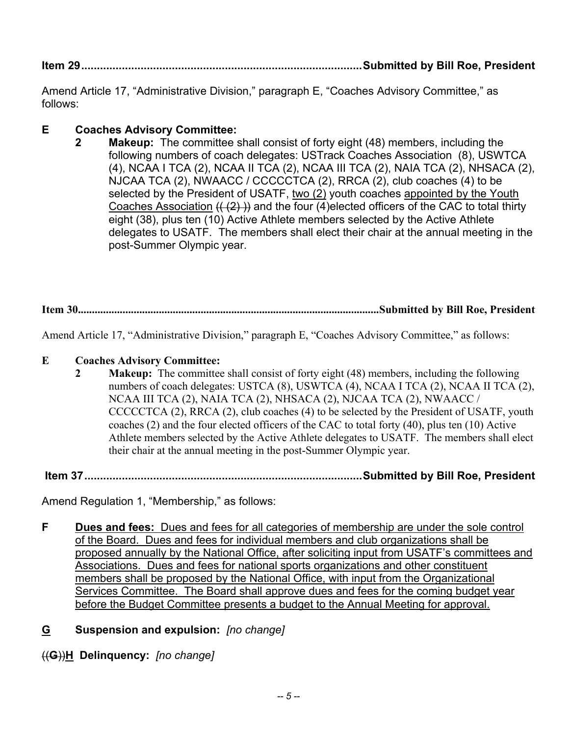**Item 29..........................................................................................Submitted by Bill Roe, President** 

Amend Article 17, "Administrative Division," paragraph E, "Coaches Advisory Committee," as follows:

#### **E Coaches Advisory Committee:**

 **2 Makeup:** The committee shall consist of forty eight (48) members, including the following numbers of coach delegates: USTrack Coaches Association (8), USWTCA (4), NCAA I TCA (2), NCAA II TCA (2), NCAA III TCA (2), NAIA TCA (2), NHSACA (2), NJCAA TCA (2), NWAACC / CCCCCTCA (2), RRCA (2), club coaches (4) to be selected by the President of USATF, two (2) youth coaches appointed by the Youth Coaches Association  $((2)$ ) and the four (4)elected officers of the CAC to total thirty eight (38), plus ten (10) Active Athlete members selected by the Active Athlete delegates to USATF. The members shall elect their chair at the annual meeting in the post-Summer Olympic year.

**Item 30............................................................................................................Submitted by Bill Roe, President** 

Amend Article 17, "Administrative Division," paragraph E, "Coaches Advisory Committee," as follows:

#### **E Coaches Advisory Committee:**

**2** Makeup: The committee shall consist of forty eight (48) members, including the following numbers of coach delegates: USTCA (8), USWTCA (4), NCAA I TCA (2), NCAA II TCA (2), NCAA III TCA (2), NAIA TCA (2), NHSACA (2), NJCAA TCA (2), NWAACC / CCCCCTCA (2), RRCA (2), club coaches (4) to be selected by the President of USATF, youth coaches (2) and the four elected officers of the CAC to total forty (40), plus ten (10) Active Athlete members selected by the Active Athlete delegates to USATF. The members shall elect their chair at the annual meeting in the post-Summer Olympic year.

 **Item 37.........................................................................................Submitted by Bill Roe, President** 

Amend Regulation 1, "Membership," as follows:

- **F Dues and fees:** Dues and fees for all categories of membership are under the sole control of the Board. Dues and fees for individual members and club organizations shall be proposed annually by the National Office, after soliciting input from USATF's committees and Associations. Dues and fees for national sports organizations and other constituent members shall be proposed by the National Office, with input from the Organizational Services Committee. The Board shall approve dues and fees for the coming budget year before the Budget Committee presents a budget to the Annual Meeting for approval.
- **G Suspension and expulsion:** *[no change]*

((**G**))**H Delinquency:** *[no change]*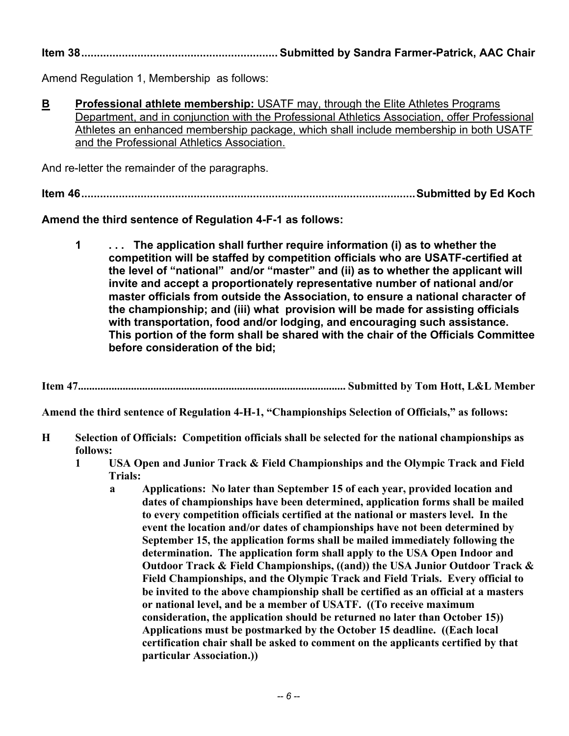**Item 38............................................................... Submitted by Sandra Farmer-Patrick, AAC Chair** 

Amend Regulation 1, Membership as follows:

**B** Professional athlete membership: USATF may, through the Elite Athletes Programs Department, and in conjunction with the Professional Athletics Association, offer Professional Athletes an enhanced membership package, which shall include membership in both USATF and the Professional Athletics Association.

And re-letter the remainder of the paragraphs.

**Item 46...........................................................................................................Submitted by Ed Koch** 

**Amend the third sentence of Regulation 4-F-1 as follows:** 

 **1 . . . The application shall further require information (i) as to whether the competition will be staffed by competition officials who are USATF-certified at the level of "national" and/or "master" and (ii) as to whether the applicant will invite and accept a proportionately representative number of national and/or master officials from outside the Association, to ensure a national character of the championship; and (iii) what provision will be made for assisting officials with transportation, food and/or lodging, and encouraging such assistance. This portion of the form shall be shared with the chair of the Officials Committee before consideration of the bid;** 

**Item 47................................................................................................ Submitted by Tom Hott, L&L Member** 

**Amend the third sentence of Regulation 4-H-1, "Championships Selection of Officials," as follows:** 

- **H Selection of Officials: Competition officials shall be selected for the national championships as follows:** 
	- **1 USA Open and Junior Track & Field Championships and the Olympic Track and Field Trials:** 
		- **a Applications: No later than September 15 of each year, provided location and dates of championships have been determined, application forms shall be mailed to every competition officials certified at the national or masters level. In the event the location and/or dates of championships have not been determined by September 15, the application forms shall be mailed immediately following the determination. The application form shall apply to the USA Open Indoor and Outdoor Track & Field Championships, ((and)) the USA Junior Outdoor Track & Field Championships, and the Olympic Track and Field Trials. Every official to be invited to the above championship shall be certified as an official at a masters or national level, and be a member of USATF. ((To receive maximum consideration, the application should be returned no later than October 15)) Applications must be postmarked by the October 15 deadline. ((Each local certification chair shall be asked to comment on the applicants certified by that particular Association.))**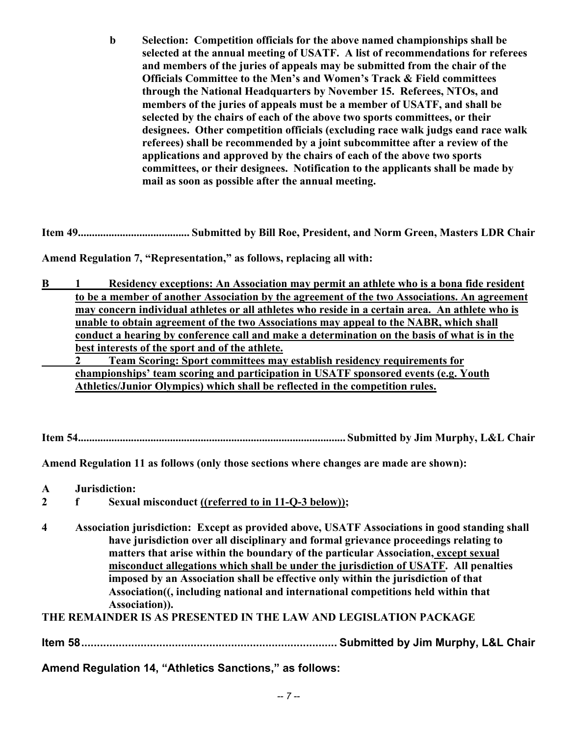**b Selection: Competition officials for the above named championships shall be selected at the annual meeting of USATF. A list of recommendations for referees and members of the juries of appeals may be submitted from the chair of the Officials Committee to the Men's and Women's Track & Field committees through the National Headquarters by November 15. Referees, NTOs, and members of the juries of appeals must be a member of USATF, and shall be selected by the chairs of each of the above two sports committees, or their designees. Other competition officials (excluding race walk judgs eand race walk referees) shall be recommended by a joint subcommittee after a review of the applications and approved by the chairs of each of the above two sports committees, or their designees. Notification to the applicants shall be made by mail as soon as possible after the annual meeting.** 

**Item 49........................................ Submitted by Bill Roe, President, and Norm Green, Masters LDR Chair** 

**Amend Regulation 7, "Representation," as follows, replacing all with:** 

**B** 1 Residency exceptions: An Association may permit an athlete who is a bona fide resident **to be a member of another Association by the agreement of the two Associations. An agreement may concern individual athletes or all athletes who reside in a certain area. An athlete who is unable to obtain agreement of the two Associations may appeal to the NABR, which shall conduct a hearing by conference call and make a determination on the basis of what is in the best interests of the sport and of the athlete.**

 **2 Team Scoring: Sport committees may establish residency requirements for championships' team scoring and participation in USATF sponsored events (e.g. Youth Athletics/Junior Olympics) which shall be reflected in the competition rules.** 

**Item 54................................................................................................ Submitted by Jim Murphy, L&L Chair** 

**Amend Regulation 11 as follows (only those sections where changes are made are shown):** 

- **A Jurisdiction:**
- **2 f Sexual misconduct ((referred to in 11-Q-3 below));**
- **4 Association jurisdiction: Except as provided above, USATF Associations in good standing shall have jurisdiction over all disciplinary and formal grievance proceedings relating to matters that arise within the boundary of the particular Association, except sexual misconduct allegations which shall be under the jurisdiction of USATF. All penalties imposed by an Association shall be effective only within the jurisdiction of that Association((, including national and international competitions held within that Association)).**

**THE REMAINDER IS AS PRESENTED IN THE LAW AND LEGISLATION PACKAGE** 

**Item 58.................................................................................. Submitted by Jim Murphy, L&L Chair** 

**Amend Regulation 14, "Athletics Sanctions," as follows:**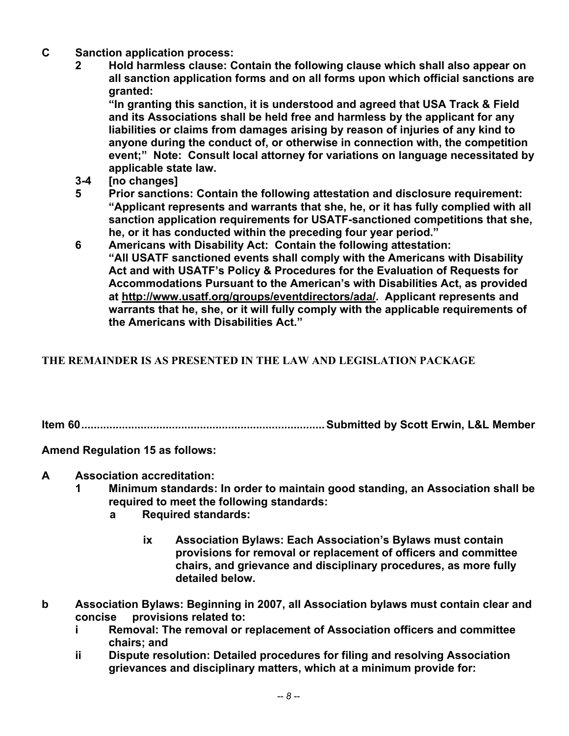- **C Sanction application process:** 
	- **2 Hold harmless clause: Contain the following clause which shall also appear on all sanction application forms and on all forms upon which official sanctions are granted:**

 **"In granting this sanction, it is understood and agreed that USA Track & Field and its Associations shall be held free and harmless by the applicant for any liabilities or claims from damages arising by reason of injuries of any kind to anyone during the conduct of, or otherwise in connection with, the competition event;" Note: Consult local attorney for variations on language necessitated by applicable state law.** 

- **3-4 [no changes]**
- **5 Prior sanctions: Contain the following attestation and disclosure requirement: "Applicant represents and warrants that she, he, or it has fully complied with all sanction application requirements for USATF-sanctioned competitions that she, he, or it has conducted within the preceding four year period."**
- **6 Americans with Disability Act: Contain the following attestation: "All USATF sanctioned events shall comply with the Americans with Disability Act and with USATF's Policy & Procedures for the Evaluation of Requests for Accommodations Pursuant to the American's with Disabilities Act, as provided at http://www.usatf.org/groups/eventdirectors/ada/. Applicant represents and warrants that he, she, or it will fully comply with the applicable requirements of the Americans with Disabilities Act."**

### **THE REMAINDER IS AS PRESENTED IN THE LAW AND LEGISLATION PACKAGE**

**Item 60..............................................................................Submitted by Scott Erwin, L&L Member** 

**Amend Regulation 15 as follows:** 

- **A Association accreditation:** 
	- **1 Minimum standards: In order to maintain good standing, an Association shall be required to meet the following standards:** 
		- **a Required standards:** 
			- **ix Association Bylaws: Each Association's Bylaws must contain provisions for removal or replacement of officers and committee chairs, and grievance and disciplinary procedures, as more fully detailed below.**
- **b Association Bylaws: Beginning in 2007, all Association bylaws must contain clear and concise provisions related to:** 
	- **i Removal: The removal or replacement of Association officers and committee chairs; and**
	- **ii Dispute resolution: Detailed procedures for filing and resolving Association grievances and disciplinary matters, which at a minimum provide for:**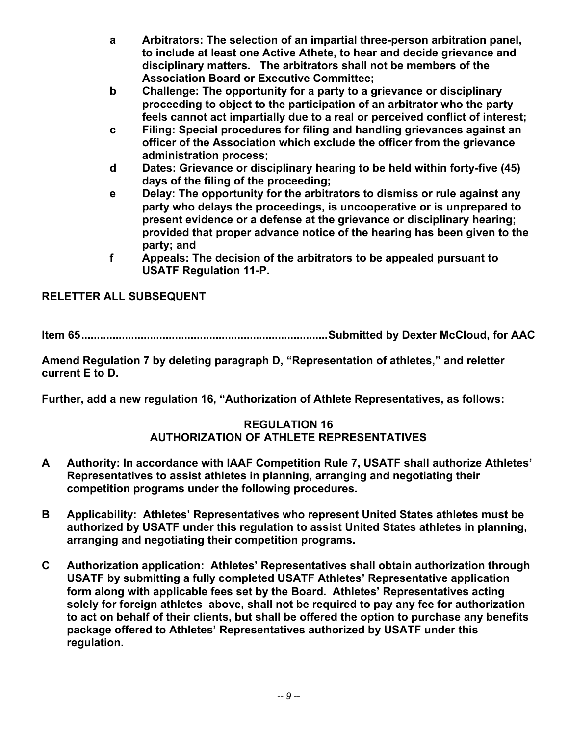- **a Arbitrators: The selection of an impartial three-person arbitration panel, to include at least one Active Athete, to hear and decide grievance and disciplinary matters. The arbitrators shall not be members of the Association Board or Executive Committee;**
- **b Challenge: The opportunity for a party to a grievance or disciplinary proceeding to object to the participation of an arbitrator who the party feels cannot act impartially due to a real or perceived conflict of interest;**
- **c Filing: Special procedures for filing and handling grievances against an officer of the Association which exclude the officer from the grievance administration process;**
- **d Dates: Grievance or disciplinary hearing to be held within forty-five (45) days of the filing of the proceeding;**
- **e Delay: The opportunity for the arbitrators to dismiss or rule against any party who delays the proceedings, is uncooperative or is unprepared to present evidence or a defense at the grievance or disciplinary hearing; provided that proper advance notice of the hearing has been given to the party; and**
- **f Appeals: The decision of the arbitrators to be appealed pursuant to USATF Regulation 11-P.**

### **RELETTER ALL SUBSEQUENT**

**Item 65...............................................................................Submitted by Dexter McCloud, for AAC** 

**Amend Regulation 7 by deleting paragraph D, "Representation of athletes," and reletter current E to D.** 

**Further, add a new regulation 16, "Authorization of Athlete Representatives, as follows:** 

#### **REGULATION 16 AUTHORIZATION OF ATHLETE REPRESENTATIVES**

- **A Authority: In accordance with IAAF Competition Rule 7, USATF shall authorize Athletes' Representatives to assist athletes in planning, arranging and negotiating their competition programs under the following procedures.**
- **B Applicability: Athletes' Representatives who represent United States athletes must be authorized by USATF under this regulation to assist United States athletes in planning, arranging and negotiating their competition programs.**
- **C Authorization application: Athletes' Representatives shall obtain authorization through USATF by submitting a fully completed USATF Athletes' Representative application form along with applicable fees set by the Board. Athletes' Representatives acting solely for foreign athletes above, shall not be required to pay any fee for authorization to act on behalf of their clients, but shall be offered the option to purchase any benefits package offered to Athletes' Representatives authorized by USATF under this regulation.**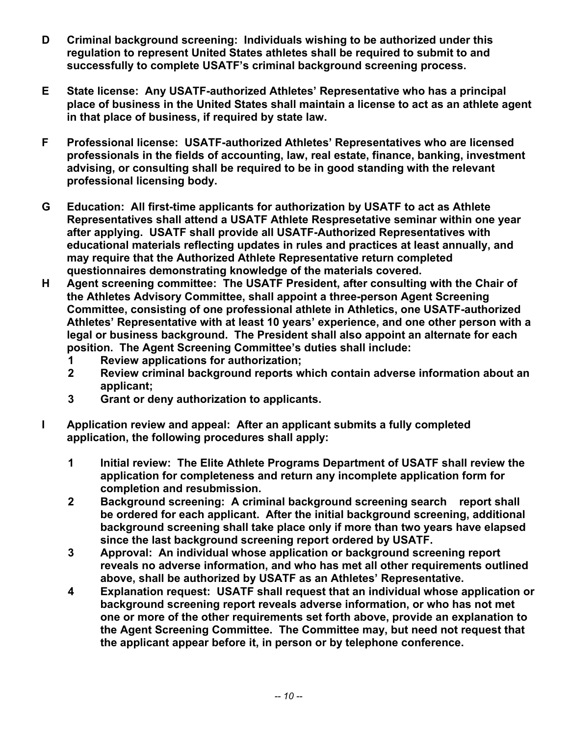- **D Criminal background screening: Individuals wishing to be authorized under this regulation to represent United States athletes shall be required to submit to and successfully to complete USATF's criminal background screening process.**
- **E State license: Any USATF-authorized Athletes' Representative who has a principal place of business in the United States shall maintain a license to act as an athlete agent in that place of business, if required by state law.**
- **F Professional license: USATF-authorized Athletes' Representatives who are licensed professionals in the fields of accounting, law, real estate, finance, banking, investment advising, or consulting shall be required to be in good standing with the relevant professional licensing body.**
- **G Education: All first-time applicants for authorization by USATF to act as Athlete Representatives shall attend a USATF Athlete Respresetative seminar within one year after applying. USATF shall provide all USATF-Authorized Representatives with educational materials reflecting updates in rules and practices at least annually, and may require that the Authorized Athlete Representative return completed questionnaires demonstrating knowledge of the materials covered.**
- **H Agent screening committee: The USATF President, after consulting with the Chair of the Athletes Advisory Committee, shall appoint a three-person Agent Screening Committee, consisting of one professional athlete in Athletics, one USATF-authorized Athletes' Representative with at least 10 years' experience, and one other person with a legal or business background. The President shall also appoint an alternate for each position. The Agent Screening Committee's duties shall include:** 
	- **1 Review applications for authorization;**
	- **2 Review criminal background reports which contain adverse information about an applicant;**
	- **3 Grant or deny authorization to applicants.**
- **I Application review and appeal: After an applicant submits a fully completed application, the following procedures shall apply:** 
	- **1 Initial review: The Elite Athlete Programs Department of USATF shall review the application for completeness and return any incomplete application form for completion and resubmission.**
	- **2 Background screening: A criminal background screening search report shall be ordered for each applicant. After the initial background screening, additional background screening shall take place only if more than two years have elapsed since the last background screening report ordered by USATF.**
	- **3 Approval: An individual whose application or background screening report reveals no adverse information, and who has met all other requirements outlined above, shall be authorized by USATF as an Athletes' Representative.**
	- **4 Explanation request: USATF shall request that an individual whose application or background screening report reveals adverse information, or who has not met one or more of the other requirements set forth above, provide an explanation to the Agent Screening Committee. The Committee may, but need not request that the applicant appear before it, in person or by telephone conference.**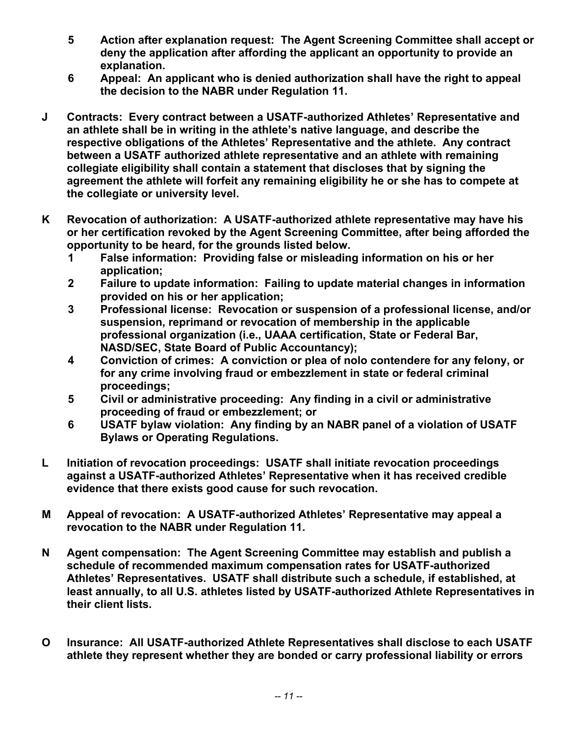- **5 Action after explanation request: The Agent Screening Committee shall accept or deny the application after affording the applicant an opportunity to provide an explanation.**
- **6 Appeal: An applicant who is denied authorization shall have the right to appeal the decision to the NABR under Regulation 11.**
- **J Contracts: Every contract between a USATF-authorized Athletes' Representative and an athlete shall be in writing in the athlete's native language, and describe the respective obligations of the Athletes' Representative and the athlete. Any contract between a USATF authorized athlete representative and an athlete with remaining collegiate eligibility shall contain a statement that discloses that by signing the agreement the athlete will forfeit any remaining eligibility he or she has to compete at the collegiate or university level.**
- **K Revocation of authorization: A USATF-authorized athlete representative may have his or her certification revoked by the Agent Screening Committee, after being afforded the opportunity to be heard, for the grounds listed below.** 
	- **1 False information: Providing false or misleading information on his or her application;**
	- **2 Failure to update information: Failing to update material changes in information provided on his or her application;**
	- **3 Professional license: Revocation or suspension of a professional license, and/or suspension, reprimand or revocation of membership in the applicable professional organization (i.e., UAAA certification, State or Federal Bar, NASD/SEC, State Board of Public Accountancy);**
	- **4 Conviction of crimes: A conviction or plea of nolo contendere for any felony, or for any crime involving fraud or embezzlement in state or federal criminal proceedings;**
	- **5 Civil or administrative proceeding: Any finding in a civil or administrative proceeding of fraud or embezzlement; or**
	- **6 USATF bylaw violation: Any finding by an NABR panel of a violation of USATF Bylaws or Operating Regulations.**
- **L Initiation of revocation proceedings: USATF shall initiate revocation proceedings against a USATF-authorized Athletes' Representative when it has received credible evidence that there exists good cause for such revocation.**
- **M Appeal of revocation: A USATF-authorized Athletes' Representative may appeal a revocation to the NABR under Regulation 11.**
- **N Agent compensation: The Agent Screening Committee may establish and publish a schedule of recommended maximum compensation rates for USATF-authorized Athletes' Representatives. USATF shall distribute such a schedule, if established, at least annually, to all U.S. athletes listed by USATF-authorized Athlete Representatives in their client lists.**
- **O Insurance: All USATF-authorized Athlete Representatives shall disclose to each USATF athlete they represent whether they are bonded or carry professional liability or errors**